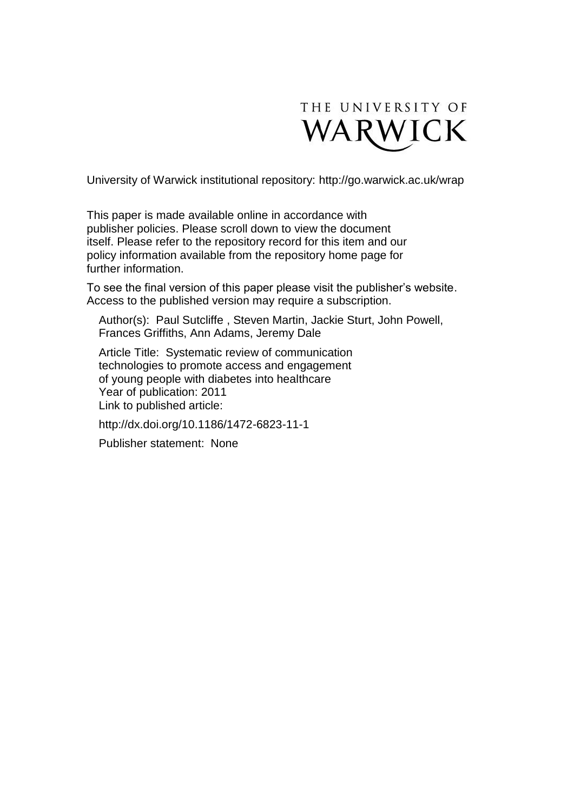

University of Warwick institutional repository:<http://go.warwick.ac.uk/wrap>

This paper is made available online in accordance with publisher policies. Please scroll down to view the document itself. Please refer to the repository record for this item and our policy information available from the repository home page for further information.

To see the final version of this paper please visit the publisher's website. Access to the published version may require a subscription.

Author(s): Paul Sutcliffe , Steven Martin, Jackie Sturt, John Powell, Frances Griffiths, Ann Adams, Jeremy Dale

Article Title: Systematic review of communication technologies to promote access and engagement of young people with diabetes into healthcare Year of publication: 2011 Link to published article:

http://dx.doi.org/10.1186/1472-6823-11-1

Publisher statement: None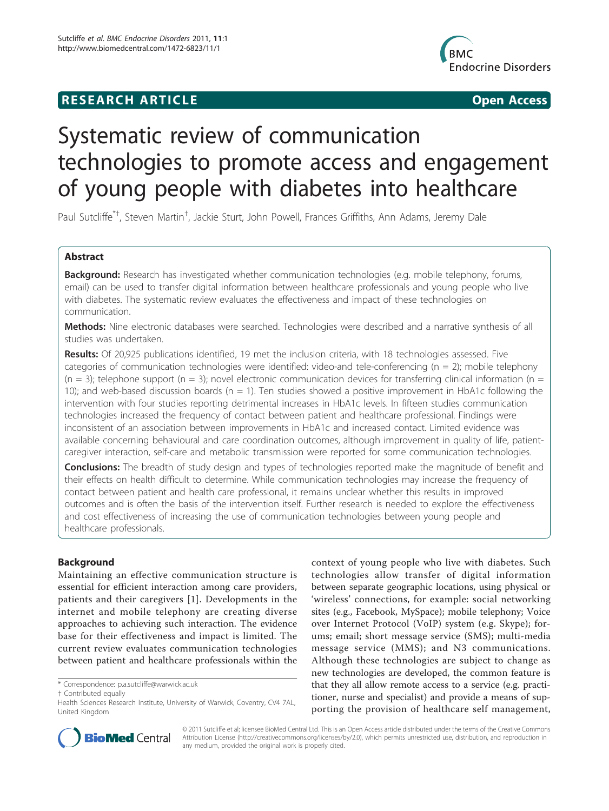# **RESEARCH ARTICLE Example 2018 12:00 Open Access**



# Systematic review of communication technologies to promote access and engagement of young people with diabetes into healthcare

Paul Sutcliffe<sup>\*†</sup>, Steven Martin<sup>†</sup>, Jackie Sturt, John Powell, Frances Griffiths, Ann Adams, Jeremy Dale

# Abstract

Background: Research has investigated whether communication technologies (e.g. mobile telephony, forums, email) can be used to transfer digital information between healthcare professionals and young people who live with diabetes. The systematic review evaluates the effectiveness and impact of these technologies on communication.

Methods: Nine electronic databases were searched. Technologies were described and a narrative synthesis of all studies was undertaken.

Results: Of 20,925 publications identified, 19 met the inclusion criteria, with 18 technologies assessed. Five categories of communication technologies were identified: video-and tele-conferencing ( $n = 2$ ); mobile telephony  $(n = 3)$ ; telephone support  $(n = 3)$ ; novel electronic communication devices for transferring clinical information (n = 10); and web-based discussion boards ( $n = 1$ ). Ten studies showed a positive improvement in HbA1c following the intervention with four studies reporting detrimental increases in HbA1c levels. In fifteen studies communication technologies increased the frequency of contact between patient and healthcare professional. Findings were inconsistent of an association between improvements in HbA1c and increased contact. Limited evidence was available concerning behavioural and care coordination outcomes, although improvement in quality of life, patientcaregiver interaction, self-care and metabolic transmission were reported for some communication technologies.

**Conclusions:** The breadth of study design and types of technologies reported make the magnitude of benefit and their effects on health difficult to determine. While communication technologies may increase the frequency of contact between patient and health care professional, it remains unclear whether this results in improved outcomes and is often the basis of the intervention itself. Further research is needed to explore the effectiveness and cost effectiveness of increasing the use of communication technologies between young people and healthcare professionals.

# Background

Maintaining an effective communication structure is essential for efficient interaction among care providers, patients and their caregivers [[1\]](#page-10-0). Developments in the internet and mobile telephony are creating diverse approaches to achieving such interaction. The evidence base for their effectiveness and impact is limited. The current review evaluates communication technologies between patient and healthcare professionals within the

† Contributed equally

context of young people who live with diabetes. Such technologies allow transfer of digital information between separate geographic locations, using physical or 'wireless' connections, for example: social networking sites (e.g., Facebook, MySpace); mobile telephony; Voice over Internet Protocol (VoIP) system (e.g. Skype); forums; email; short message service (SMS); multi-media message service (MMS); and N3 communications. Although these technologies are subject to change as new technologies are developed, the common feature is that they all allow remote access to a service (e.g. practitioner, nurse and specialist) and provide a means of supporting the provision of healthcare self management,



© 2011 Sutcliffe et al; licensee BioMed Central Ltd. This is an Open Access article distributed under the terms of the Creative Commons Attribution License [\(http://creativecommons.org/licenses/by/2.0](http://creativecommons.org/licenses/by/2.0)), which permits unrestricted use, distribution, and reproduction in any medium, provided the original work is properly cited.

<sup>\*</sup> Correspondence: [p.a.sutcliffe@warwick.ac.uk](mailto:p.a.sutcliffe@warwick.ac.uk)

Health Sciences Research Institute, University of Warwick, Coventry, CV4 7AL, United Kingdom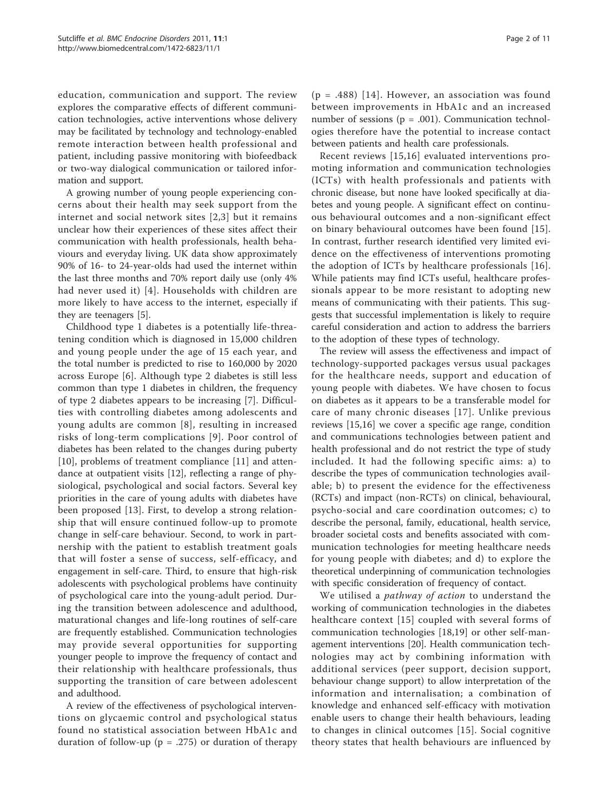education, communication and support. The review explores the comparative effects of different communication technologies, active interventions whose delivery may be facilitated by technology and technology-enabled remote interaction between health professional and patient, including passive monitoring with biofeedback or two-way dialogical communication or tailored information and support.

A growing number of young people experiencing concerns about their health may seek support from the internet and social network sites [[2,3](#page-10-0)] but it remains unclear how their experiences of these sites affect their communication with health professionals, health behaviours and everyday living. UK data show approximately 90% of 16- to 24-year-olds had used the internet within the last three months and 70% report daily use (only 4% had never used it) [[4\]](#page-10-0). Households with children are more likely to have access to the internet, especially if they are teenagers [\[5](#page-10-0)].

Childhood type 1 diabetes is a potentially life-threatening condition which is diagnosed in 15,000 children and young people under the age of 15 each year, and the total number is predicted to rise to 160,000 by 2020 across Europe [[6\]](#page-10-0). Although type 2 diabetes is still less common than type 1 diabetes in children, the frequency of type 2 diabetes appears to be increasing [\[7](#page-10-0)]. Difficulties with controlling diabetes among adolescents and young adults are common [[8](#page-10-0)], resulting in increased risks of long-term complications [[9](#page-10-0)]. Poor control of diabetes has been related to the changes during puberty [[10\]](#page-10-0), problems of treatment compliance [[11\]](#page-10-0) and attendance at outpatient visits [[12\]](#page-10-0), reflecting a range of physiological, psychological and social factors. Several key priorities in the care of young adults with diabetes have been proposed [\[13](#page-10-0)]. First, to develop a strong relationship that will ensure continued follow-up to promote change in self-care behaviour. Second, to work in partnership with the patient to establish treatment goals that will foster a sense of success, self-efficacy, and engagement in self-care. Third, to ensure that high-risk adolescents with psychological problems have continuity of psychological care into the young-adult period. During the transition between adolescence and adulthood, maturational changes and life-long routines of self-care are frequently established. Communication technologies may provide several opportunities for supporting younger people to improve the frequency of contact and their relationship with healthcare professionals, thus supporting the transition of care between adolescent and adulthood.

A review of the effectiveness of psychological interventions on glycaemic control and psychological status found no statistical association between HbA1c and duration of follow-up ( $p = .275$ ) or duration of therapy

 $(p = .488)$  [[14](#page-10-0)]. However, an association was found between improvements in HbA1c and an increased number of sessions ( $p = .001$ ). Communication technologies therefore have the potential to increase contact between patients and health care professionals.

Recent reviews [[15](#page-10-0),[16](#page-10-0)] evaluated interventions promoting information and communication technologies (ICTs) with health professionals and patients with chronic disease, but none have looked specifically at diabetes and young people. A significant effect on continuous behavioural outcomes and a non-significant effect on binary behavioural outcomes have been found [[15](#page-10-0)]. In contrast, further research identified very limited evidence on the effectiveness of interventions promoting the adoption of ICTs by healthcare professionals [[16](#page-10-0)]. While patients may find ICTs useful, healthcare professionals appear to be more resistant to adopting new means of communicating with their patients. This suggests that successful implementation is likely to require careful consideration and action to address the barriers to the adoption of these types of technology.

The review will assess the effectiveness and impact of technology-supported packages versus usual packages for the healthcare needs, support and education of young people with diabetes. We have chosen to focus on diabetes as it appears to be a transferable model for care of many chronic diseases [[17](#page-10-0)]. Unlike previous reviews [[15,16](#page-10-0)] we cover a specific age range, condition and communications technologies between patient and health professional and do not restrict the type of study included. It had the following specific aims: a) to describe the types of communication technologies available; b) to present the evidence for the effectiveness (RCTs) and impact (non-RCTs) on clinical, behavioural, psycho-social and care coordination outcomes; c) to describe the personal, family, educational, health service, broader societal costs and benefits associated with communication technologies for meeting healthcare needs for young people with diabetes; and d) to explore the theoretical underpinning of communication technologies with specific consideration of frequency of contact.

We utilised a *pathway of action* to understand the working of communication technologies in the diabetes healthcare context [[15](#page-10-0)] coupled with several forms of communication technologies [\[18,19\]](#page-10-0) or other self-management interventions [\[20\]](#page-10-0). Health communication technologies may act by combining information with additional services (peer support, decision support, behaviour change support) to allow interpretation of the information and internalisation; a combination of knowledge and enhanced self-efficacy with motivation enable users to change their health behaviours, leading to changes in clinical outcomes [\[15\]](#page-10-0). Social cognitive theory states that health behaviours are influenced by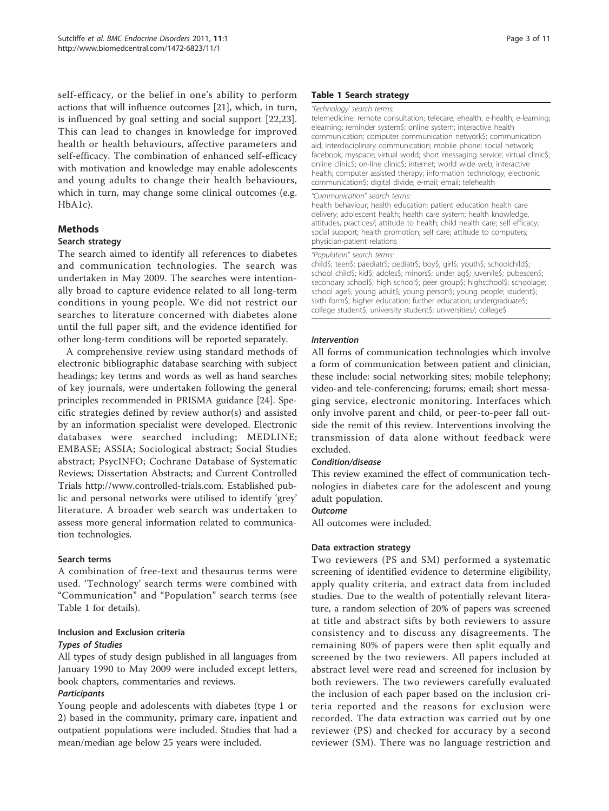self-efficacy, or the belief in one's ability to perform actions that will influence outcomes [[21](#page-10-0)], which, in turn, is influenced by goal setting and social support [[22,23](#page-10-0)]. This can lead to changes in knowledge for improved health or health behaviours, affective parameters and self-efficacy. The combination of enhanced self-efficacy with motivation and knowledge may enable adolescents and young adults to change their health behaviours, which in turn, may change some clinical outcomes (e.g. HbA1c).

# Methods

#### Search strategy

The search aimed to identify all references to diabetes and communication technologies. The search was undertaken in May 2009. The searches were intentionally broad to capture evidence related to all long-term conditions in young people. We did not restrict our searches to literature concerned with diabetes alone until the full paper sift, and the evidence identified for other long-term conditions will be reported separately.

A comprehensive review using standard methods of electronic bibliographic database searching with subject headings; key terms and words as well as hand searches of key journals, were undertaken following the general principles recommended in PRISMA guidance [\[24\]](#page-10-0). Specific strategies defined by review author(s) and assisted by an information specialist were developed. Electronic databases were searched including; MEDLINE; EMBASE; ASSIA; Sociological abstract; Social Studies abstract; PsycINFO; Cochrane Database of Systematic Reviews; Dissertation Abstracts; and Current Controlled Trials<http://www.controlled-trials.com>. Established public and personal networks were utilised to identify 'grey' literature. A broader web search was undertaken to assess more general information related to communication technologies.

# Search terms

A combination of free-text and thesaurus terms were used. 'Technology' search terms were combined with "Communication" and "Population" search terms (see Table 1 for details).

# Inclusion and Exclusion criteria

#### Types of Studies

All types of study design published in all languages from January 1990 to May 2009 were included except letters, book chapters, commentaries and reviews.

# **Participants**

Young people and adolescents with diabetes (type 1 or 2) based in the community, primary care, inpatient and outpatient populations were included. Studies that had a mean/median age below 25 years were included.

#### Table 1 Search strategy

#### 'Technology' search terms:

telemedicine; remote consultation; telecare; ehealth; e-health; e-learning; elearning; reminder system\$; online system; interactive health communication; computer communication network\$; communication aid; interdisciplinary communication; mobile phone; social network; facebook; myspace; virtual world; short messaging service; virtual clinic\$; online clinic\$; on-line clinic\$; internet; world wide web; interactive health; computer assisted therapy; information technology; electronic communication\$; digital divide; e-mail; email; telehealth

#### "Communication" search terms:

health behaviour; health education; patient education health care delivery; adolescent health; health care system; health knowledge, attitudes, practices/; attitude to health; child health care; self efficacy; social support; health promotion; self care; attitude to computers; physician-patient relations

#### "Population" search terms:

child\$; teen\$; paediatr\$; pediatr\$; boy\$; girl\$; youth\$; schoolchild\$; school child\$; kid\$; adoles\$; minors\$; under ag\$; juvenile\$; pubescen\$; secondary school\$; high school\$; peer group\$; highschool\$; schoolage; school age\$; young adult\$; young person\$; young people; student\$; sixth form\$; higher education; further education; undergraduate\$; college student\$; university student\$; universities/; college\$

# Intervention

All forms of communication technologies which involve a form of communication between patient and clinician, these include: social networking sites; mobile telephony; video-and tele-conferencing; forums; email; short messaging service, electronic monitoring. Interfaces which only involve parent and child, or peer-to-peer fall outside the remit of this review. Interventions involving the transmission of data alone without feedback were excluded.

# Condition/disease

This review examined the effect of communication technologies in diabetes care for the adolescent and young adult population.

#### **Outcome**

All outcomes were included.

# Data extraction strategy

Two reviewers (PS and SM) performed a systematic screening of identified evidence to determine eligibility, apply quality criteria, and extract data from included studies. Due to the wealth of potentially relevant literature, a random selection of 20% of papers was screened at title and abstract sifts by both reviewers to assure consistency and to discuss any disagreements. The remaining 80% of papers were then split equally and screened by the two reviewers. All papers included at abstract level were read and screened for inclusion by both reviewers. The two reviewers carefully evaluated the inclusion of each paper based on the inclusion criteria reported and the reasons for exclusion were recorded. The data extraction was carried out by one reviewer (PS) and checked for accuracy by a second reviewer (SM). There was no language restriction and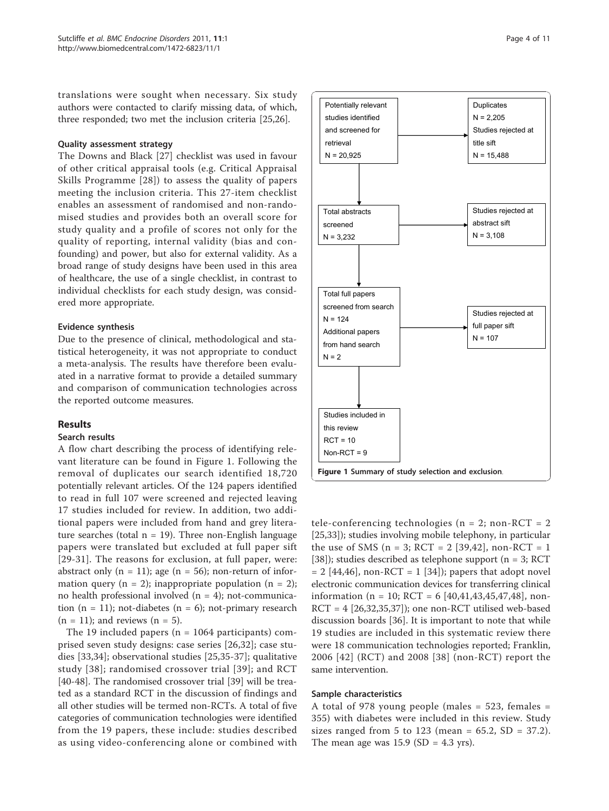translations were sought when necessary. Six study authors were contacted to clarify missing data, of which, three responded; two met the inclusion criteria [[25,26\]](#page-10-0).

#### Quality assessment strategy

The Downs and Black [[27\]](#page-10-0) checklist was used in favour of other critical appraisal tools (e.g. Critical Appraisal Skills Programme [[28\]](#page-10-0)) to assess the quality of papers meeting the inclusion criteria. This 27-item checklist enables an assessment of randomised and non-randomised studies and provides both an overall score for study quality and a profile of scores not only for the quality of reporting, internal validity (bias and confounding) and power, but also for external validity. As a broad range of study designs have been used in this area of healthcare, the use of a single checklist, in contrast to individual checklists for each study design, was considered more appropriate.

#### Evidence synthesis

Due to the presence of clinical, methodological and statistical heterogeneity, it was not appropriate to conduct a meta-analysis. The results have therefore been evaluated in a narrative format to provide a detailed summary and comparison of communication technologies across the reported outcome measures.

# Results

# Search results

A flow chart describing the process of identifying relevant literature can be found in Figure 1. Following the removal of duplicates our search identified 18,720 potentially relevant articles. Of the 124 papers identified to read in full 107 were screened and rejected leaving 17 studies included for review. In addition, two additional papers were included from hand and grey literature searches (total  $n = 19$ ). Three non-English language papers were translated but excluded at full paper sift [[29](#page-10-0)-[31](#page-10-0)]. The reasons for exclusion, at full paper, were: abstract only  $(n = 11)$ ; age  $(n = 56)$ ; non-return of information query (n = 2); inappropriate population (n = 2); no health professional involved  $(n = 4)$ ; not-communication  $(n = 11)$ ; not-diabetes  $(n = 6)$ ; not-primary research  $(n = 11)$ ; and reviews  $(n = 5)$ .

The 19 included papers ( $n = 1064$  participants) comprised seven study designs: case series [[26,32](#page-10-0)]; case studies [\[33,34](#page-10-0)]; observational studies [\[25,35](#page-10-0)-[37](#page-10-0)]; qualitative study [[38\]](#page-10-0); randomised crossover trial [[39](#page-10-0)]; and RCT [[40-48](#page-11-0)]. The randomised crossover trial [[39](#page-10-0)] will be treated as a standard RCT in the discussion of findings and all other studies will be termed non-RCTs. A total of five categories of communication technologies were identified from the 19 papers, these include: studies described as using video-conferencing alone or combined with



tele-conferencing technologies ( $n = 2$ ; non-RCT = 2 [[25,33\]](#page-10-0)); studies involving mobile telephony, in particular the use of SMS ( $n = 3$ ; RCT = 2 [[39](#page-10-0),[42](#page-11-0)], non-RCT = 1 [[38\]](#page-10-0)); studies described as telephone support ( $n = 3$ ; RCT  $= 2$  [[44,46](#page-11-0)], non-RCT  $= 1$  [[34](#page-10-0)]); papers that adopt novel electronic communication devices for transferring clinical information (n = 10; RCT = 6  $[40,41,43,45,47,48]$  $[40,41,43,45,47,48]$  $[40,41,43,45,47,48]$  $[40,41,43,45,47,48]$  $[40,41,43,45,47,48]$  $[40,41,43,45,47,48]$  $[40,41,43,45,47,48]$ , non- $RCT = 4$  [\[26,32,35,37](#page-10-0)]); one non-RCT utilised web-based discussion boards [[36\]](#page-10-0). It is important to note that while 19 studies are included in this systematic review there were 18 communication technologies reported; Franklin, 2006 [[42\]](#page-11-0) (RCT) and 2008 [\[38\]](#page-10-0) (non-RCT) report the same intervention.

#### Sample characteristics

A total of 978 young people (males =  $523$ , females = 355) with diabetes were included in this review. Study sizes ranged from 5 to 123 (mean =  $65.2$ , SD =  $37.2$ ). The mean age was  $15.9$  (SD = 4.3 yrs).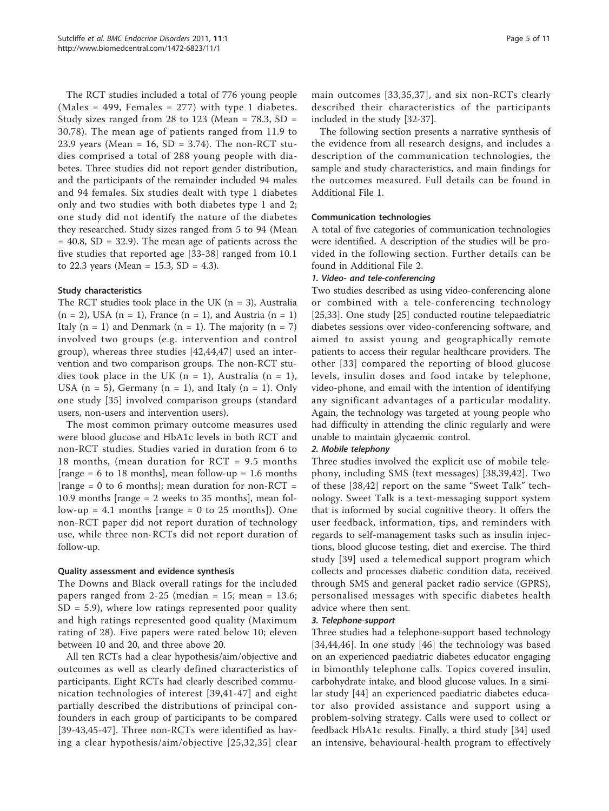The RCT studies included a total of 776 young people (Males = 499, Females = 277) with type 1 diabetes. Study sizes ranged from 28 to 123 (Mean = 78.3, SD = 30.78). The mean age of patients ranged from 11.9 to 23.9 years (Mean =  $16$ , SD = 3.74). The non-RCT studies comprised a total of 288 young people with diabetes. Three studies did not report gender distribution, and the participants of the remainder included 94 males and 94 females. Six studies dealt with type 1 diabetes only and two studies with both diabetes type 1 and 2; one study did not identify the nature of the diabetes they researched. Study sizes ranged from 5 to 94 (Mean  $= 40.8$ , SD  $= 32.9$ ). The mean age of patients across the five studies that reported age [[33](#page-10-0)-[38\]](#page-10-0) ranged from 10.1 to 22.3 years (Mean = 15.3, SD = 4.3).

# Study characteristics

The RCT studies took place in the UK  $(n = 3)$ , Australia  $(n = 2)$ , USA  $(n = 1)$ , France  $(n = 1)$ , and Austria  $(n = 1)$ Italy  $(n = 1)$  and Denmark  $(n = 1)$ . The majority  $(n = 7)$ involved two groups (e.g. intervention and control group), whereas three studies [[42,44,47\]](#page-11-0) used an intervention and two comparison groups. The non-RCT studies took place in the UK  $(n = 1)$ , Australia  $(n = 1)$ , USA  $(n = 5)$ , Germany  $(n = 1)$ , and Italy  $(n = 1)$ . Only one study [[35](#page-10-0)] involved comparison groups (standard users, non-users and intervention users).

The most common primary outcome measures used were blood glucose and HbA1c levels in both RCT and non-RCT studies. Studies varied in duration from 6 to 18 months, (mean duration for RCT = 9.5 months [range = 6 to 18 months], mean follow-up = 1.6 months  $[range = 0$  to 6 months; mean duration for non-RCT = 10.9 months [range = 2 weeks to 35 months], mean follow-up = 4.1 months [range = 0 to 25 months]). One non-RCT paper did not report duration of technology use, while three non-RCTs did not report duration of follow-up.

#### Quality assessment and evidence synthesis

The Downs and Black overall ratings for the included papers ranged from 2-25 (median =  $15$ ; mean =  $13.6$ ;  $SD = 5.9$ , where low ratings represented poor quality and high ratings represented good quality (Maximum rating of 28). Five papers were rated below 10; eleven between 10 and 20, and three above 20.

All ten RCTs had a clear hypothesis/aim/objective and outcomes as well as clearly defined characteristics of participants. Eight RCTs had clearly described communication technologies of interest [\[39,](#page-10-0)[41-47\]](#page-11-0) and eight partially described the distributions of principal confounders in each group of participants to be compared [[39](#page-10-0)-[43,45](#page-11-0)-[47\]](#page-11-0). Three non-RCTs were identified as having a clear hypothesis/aim/objective [[25](#page-10-0),[32](#page-10-0),[35](#page-10-0)] clear

main outcomes [[33](#page-10-0),[35](#page-10-0),[37](#page-10-0)], and six non-RCTs clearly described their characteristics of the participants included in the study [\[32](#page-10-0)-[37](#page-10-0)].

The following section presents a narrative synthesis of the evidence from all research designs, and includes a description of the communication technologies, the sample and study characteristics, and main findings for the outcomes measured. Full details can be found in Additional File [1.](#page-9-0)

#### Communication technologies

A total of five categories of communication technologies were identified. A description of the studies will be provided in the following section. Further details can be found in Additional File [2.](#page-10-0)

#### 1. Video- and tele-conferencing

Two studies described as using video-conferencing alone or combined with a tele-conferencing technology [[25,33\]](#page-10-0). One study [[25\]](#page-10-0) conducted routine telepaediatric diabetes sessions over video-conferencing software, and aimed to assist young and geographically remote patients to access their regular healthcare providers. The other [[33](#page-10-0)] compared the reporting of blood glucose levels, insulin doses and food intake by telephone, video-phone, and email with the intention of identifying any significant advantages of a particular modality. Again, the technology was targeted at young people who had difficulty in attending the clinic regularly and were unable to maintain glycaemic control.

# 2. Mobile telephony

Three studies involved the explicit use of mobile telephony, including SMS (text messages) [\[38,39](#page-10-0)[,42\]](#page-11-0). Two of these [[38](#page-10-0)[,42](#page-11-0)] report on the same "Sweet Talk" technology. Sweet Talk is a text-messaging support system that is informed by social cognitive theory. It offers the user feedback, information, tips, and reminders with regards to self-management tasks such as insulin injections, blood glucose testing, diet and exercise. The third study [[39](#page-10-0)] used a telemedical support program which collects and processes diabetic condition data, received through SMS and general packet radio service (GPRS), personalised messages with specific diabetes health advice where then sent.

#### 3. Telephone-support

Three studies had a telephone-support based technology [[34](#page-10-0)[,44,46](#page-11-0)]. In one study [[46\]](#page-11-0) the technology was based on an experienced paediatric diabetes educator engaging in bimonthly telephone calls. Topics covered insulin, carbohydrate intake, and blood glucose values. In a similar study [[44\]](#page-11-0) an experienced paediatric diabetes educator also provided assistance and support using a problem-solving strategy. Calls were used to collect or feedback HbA1c results. Finally, a third study [\[34](#page-10-0)] used an intensive, behavioural-health program to effectively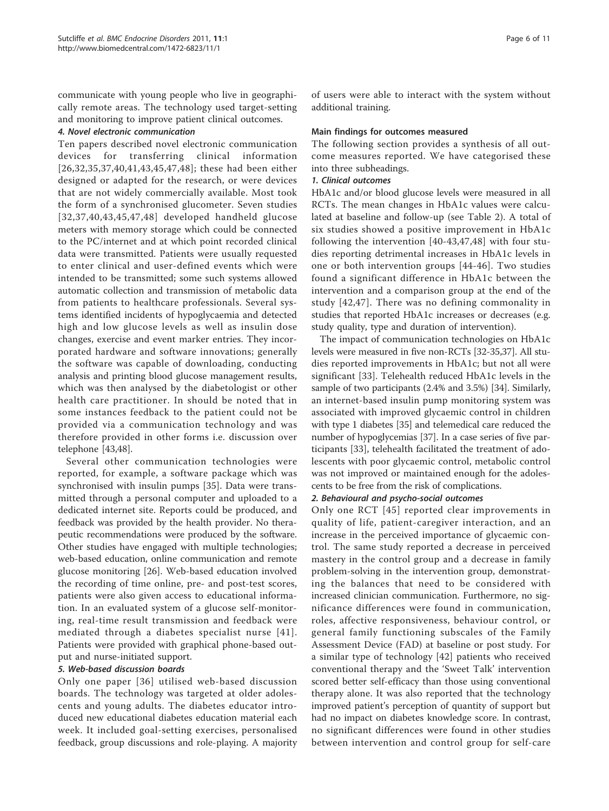communicate with young people who live in geographically remote areas. The technology used target-setting and monitoring to improve patient clinical outcomes.

#### 4. Novel electronic communication

Ten papers described novel electronic communication devices for transferring clinical information [[26,32](#page-10-0),[35](#page-10-0),[37](#page-10-0),[40,41,43,45,47](#page-11-0),[48](#page-11-0)]; these had been either designed or adapted for the research, or were devices that are not widely commercially available. Most took the form of a synchronised glucometer. Seven studies [[32](#page-10-0),[37](#page-10-0),[40,43](#page-11-0),[45](#page-11-0),[47,48](#page-11-0)] developed handheld glucose meters with memory storage which could be connected to the PC/internet and at which point recorded clinical data were transmitted. Patients were usually requested to enter clinical and user-defined events which were intended to be transmitted; some such systems allowed automatic collection and transmission of metabolic data from patients to healthcare professionals. Several systems identified incidents of hypoglycaemia and detected high and low glucose levels as well as insulin dose changes, exercise and event marker entries. They incorporated hardware and software innovations; generally the software was capable of downloading, conducting analysis and printing blood glucose management results, which was then analysed by the diabetologist or other health care practitioner. In should be noted that in some instances feedback to the patient could not be provided via a communication technology and was therefore provided in other forms i.e. discussion over telephone [[43,48](#page-11-0)].

Several other communication technologies were reported, for example, a software package which was synchronised with insulin pumps [[35\]](#page-10-0). Data were transmitted through a personal computer and uploaded to a dedicated internet site. Reports could be produced, and feedback was provided by the health provider. No therapeutic recommendations were produced by the software. Other studies have engaged with multiple technologies; web-based education, online communication and remote glucose monitoring [[26\]](#page-10-0). Web-based education involved the recording of time online, pre- and post-test scores, patients were also given access to educational information. In an evaluated system of a glucose self-monitoring, real-time result transmission and feedback were mediated through a diabetes specialist nurse [[41\]](#page-11-0). Patients were provided with graphical phone-based output and nurse-initiated support.

# 5. Web-based discussion boards

Only one paper [[36\]](#page-10-0) utilised web-based discussion boards. The technology was targeted at older adolescents and young adults. The diabetes educator introduced new educational diabetes education material each week. It included goal-setting exercises, personalised feedback, group discussions and role-playing. A majority

of users were able to interact with the system without additional training.

#### Main findings for outcomes measured

The following section provides a synthesis of all outcome measures reported. We have categorised these into three subheadings.

#### 1. Clinical outcomes

HbA1c and/or blood glucose levels were measured in all RCTs. The mean changes in HbA1c values were calculated at baseline and follow-up (see Table [2](#page-7-0)). A total of six studies showed a positive improvement in HbA1c following the intervention [[40](#page-11-0)-[43](#page-11-0),[47,48](#page-11-0)] with four studies reporting detrimental increases in HbA1c levels in one or both intervention groups [\[44-46\]](#page-11-0). Two studies found a significant difference in HbA1c between the intervention and a comparison group at the end of the study [[42](#page-11-0),[47](#page-11-0)]. There was no defining commonality in studies that reported HbA1c increases or decreases (e.g. study quality, type and duration of intervention).

The impact of communication technologies on HbA1c levels were measured in five non-RCTs [\[32-35,37\]](#page-10-0). All studies reported improvements in HbA1c; but not all were significant [[33](#page-10-0)]. Telehealth reduced HbA1c levels in the sample of two participants (2.4% and 3.5%) [[34](#page-10-0)]. Similarly, an internet-based insulin pump monitoring system was associated with improved glycaemic control in children with type 1 diabetes [[35](#page-10-0)] and telemedical care reduced the number of hypoglycemias [\[37\]](#page-10-0). In a case series of five participants [[33\]](#page-10-0), telehealth facilitated the treatment of adolescents with poor glycaemic control, metabolic control was not improved or maintained enough for the adolescents to be free from the risk of complications.

# 2. Behavioural and psycho-social outcomes

Only one RCT [[45](#page-11-0)] reported clear improvements in quality of life, patient-caregiver interaction, and an increase in the perceived importance of glycaemic control. The same study reported a decrease in perceived mastery in the control group and a decrease in family problem-solving in the intervention group, demonstrating the balances that need to be considered with increased clinician communication. Furthermore, no significance differences were found in communication, roles, affective responsiveness, behaviour control, or general family functioning subscales of the Family Assessment Device (FAD) at baseline or post study. For a similar type of technology [[42\]](#page-11-0) patients who received conventional therapy and the 'Sweet Talk' intervention scored better self-efficacy than those using conventional therapy alone. It was also reported that the technology improved patient's perception of quantity of support but had no impact on diabetes knowledge score. In contrast, no significant differences were found in other studies between intervention and control group for self-care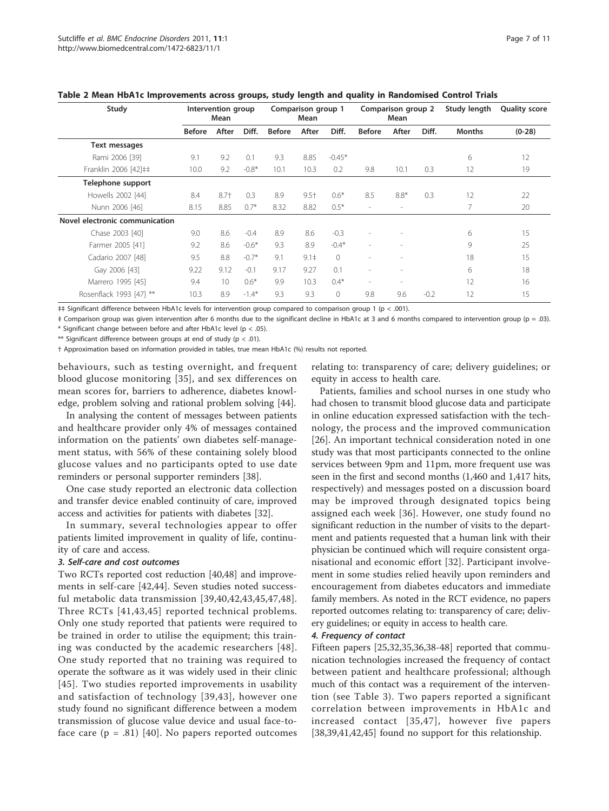| Study                          | Intervention group<br>Mean |                 | Comparison group 1<br>Mean |               |           | Comparison group 2<br>Mean |                          | Study length             | <b>Quality score</b> |               |          |
|--------------------------------|----------------------------|-----------------|----------------------------|---------------|-----------|----------------------------|--------------------------|--------------------------|----------------------|---------------|----------|
|                                | <b>Before</b>              | After           | Diff.                      | <b>Before</b> | After     | Diff.                      | <b>Before</b>            | After                    | Diff.                | <b>Months</b> | $(0-28)$ |
| Text messages                  |                            |                 |                            |               |           |                            |                          |                          |                      |               |          |
| Rami 2006 [39]                 | 9.1                        | 9.2             | 0.1                        | 9.3           | 8.85      | $-0.45*$                   |                          |                          |                      | 6             | 12       |
| Franklin 2006 [42] ‡‡          | 10.0                       | 9.2             | $-0.8*$                    | 10.1          | 10.3      | 0.2                        | 9.8                      | 10.1                     | 0.3                  | 12            | 19       |
| Telephone support              |                            |                 |                            |               |           |                            |                          |                          |                      |               |          |
| Howells 2002 [44]              | 8.4                        | $8.7+$          | 0.3                        | 8.9           | $9.5 +$   | $0.6*$                     | 8.5                      | $8.8*$                   | 0.3                  | 12            | 22       |
| Nunn 2006 [46]                 | 8.15                       | 8.85            | $0.7*$                     | 8.32          | 8.82      | $0.5*$                     | $\overline{\phantom{a}}$ | $\overline{\phantom{a}}$ |                      | 7             | 20       |
| Novel electronic communication |                            |                 |                            |               |           |                            |                          |                          |                      |               |          |
| Chase 2003 [40]                | 9.0                        | 8.6             | $-0.4$                     | 8.9           | 8.6       | $-0.3$                     | $\overline{\phantom{a}}$ |                          |                      | 6             | 15       |
| Farmer 2005 [41]               | 9.2                        | 8.6             | $-0.6*$                    | 9.3           | 8.9       | $-0.4*$                    | ٠                        | $\overline{\phantom{a}}$ |                      | 9             | 25       |
| Cadario 2007 [48]              | 9.5                        | 8.8             | $-0.7*$                    | 9.1           | $9.1 \pm$ | $\bigcirc$                 | $\overline{\phantom{a}}$ | $\overline{\phantom{a}}$ |                      | 18            | 15       |
| Gay 2006 [43]                  | 9.22                       | 9.12            | $-0.1$                     | 9.17          | 9.27      | 0.1                        | $\overline{\phantom{a}}$ | $\overline{\phantom{a}}$ |                      | 6             | 18       |
| Marrero 1995 [45]              | 9.4                        | 10 <sup>°</sup> | $0.6*$                     | 9.9           | 10.3      | $0.4*$                     | $\sim$                   | $\overline{\phantom{a}}$ |                      | 12            | 16       |
| Rosenflack 1993 [47] **        | 10.3                       | 8.9             | $-1.4*$                    | 9.3           | 9.3       | $\circ$                    | 9.8                      | 9.6                      | $-0.2$               | 12            | 15       |

<span id="page-7-0"></span>

| Table 2 Mean HbA1c Improvements across groups, study length and quality in Randomised Control Trials |  |  |
|------------------------------------------------------------------------------------------------------|--|--|
|------------------------------------------------------------------------------------------------------|--|--|

‡‡ Significant difference between HbA1c levels for intervention group compared to comparison group 1 (p < .001).

‡ Comparison group was given intervention after 6 months due to the significant decline in HbA1c at 3 and 6 months compared to intervention group (p = .03). \* Significant change between before and after HbA1c level ( $p < .05$ ).

\*\* Significant difference between groups at end of study ( $p < .01$ ).

† Approximation based on information provided in tables, true mean HbA1c (%) results not reported.

behaviours, such as testing overnight, and frequent blood glucose monitoring [\[35\]](#page-10-0), and sex differences on mean scores for, barriers to adherence, diabetes knowledge, problem solving and rational problem solving [[44](#page-11-0)].

In analysing the content of messages between patients and healthcare provider only 4% of messages contained information on the patients' own diabetes self-management status, with 56% of these containing solely blood glucose values and no participants opted to use date reminders or personal supporter reminders [[38\]](#page-10-0).

One case study reported an electronic data collection and transfer device enabled continuity of care, improved access and activities for patients with diabetes [\[32\]](#page-10-0).

In summary, several technologies appear to offer patients limited improvement in quality of life, continuity of care and access.

#### 3. Self-care and cost outcomes

Two RCTs reported cost reduction [\[40,48](#page-11-0)] and improvements in self-care [[42](#page-11-0),[44\]](#page-11-0). Seven studies noted successful metabolic data transmission [\[39,](#page-10-0)[40](#page-11-0),[42,43](#page-11-0),[45,47](#page-11-0),[48\]](#page-11-0). Three RCTs [[41,43,45\]](#page-11-0) reported technical problems. Only one study reported that patients were required to be trained in order to utilise the equipment; this training was conducted by the academic researchers [\[48\]](#page-11-0). One study reported that no training was required to operate the software as it was widely used in their clinic [[45](#page-11-0)]. Two studies reported improvements in usability and satisfaction of technology [[39,](#page-10-0)[43\]](#page-11-0), however one study found no significant difference between a modem transmission of glucose value device and usual face-toface care  $(p = .81)$  [[40\]](#page-11-0). No papers reported outcomes

relating to: transparency of care; delivery guidelines; or equity in access to health care.

Patients, families and school nurses in one study who had chosen to transmit blood glucose data and participate in online education expressed satisfaction with the technology, the process and the improved communication [[26\]](#page-10-0). An important technical consideration noted in one study was that most participants connected to the online services between 9pm and 11pm, more frequent use was seen in the first and second months (1,460 and 1,417 hits, respectively) and messages posted on a discussion board may be improved through designated topics being assigned each week [[36\]](#page-10-0). However, one study found no significant reduction in the number of visits to the department and patients requested that a human link with their physician be continued which will require consistent organisational and economic effort [\[32](#page-10-0)]. Participant involvement in some studies relied heavily upon reminders and encouragement from diabetes educators and immediate family members. As noted in the RCT evidence, no papers reported outcomes relating to: transparency of care; delivery guidelines; or equity in access to health care.

#### 4. Frequency of contact

Fifteen papers [[25,32,35,36,38-](#page-10-0)[48\]](#page-11-0) reported that communication technologies increased the frequency of contact between patient and healthcare professional; although much of this contact was a requirement of the intervention (see Table [3\)](#page-8-0). Two papers reported a significant correlation between improvements in HbA1c and increased contact [[35](#page-10-0),[47\]](#page-11-0), however five papers [[38,39,](#page-10-0)[41](#page-11-0),[42,45](#page-11-0)] found no support for this relationship.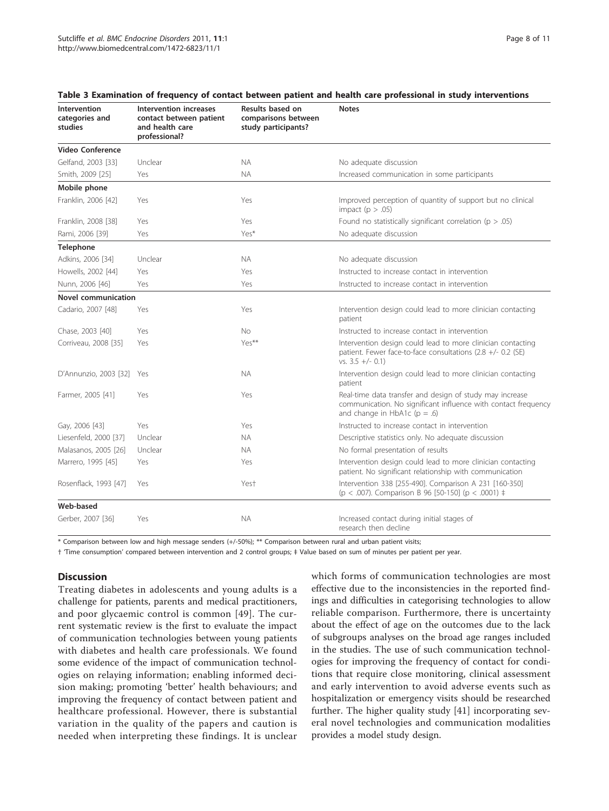| Intervention<br>categories and<br>studies | Intervention increases<br>contact between patient<br>and health care<br>professional? | Results based on<br>comparisons between<br>study participants? | <b>Notes</b>                                                                                                                                                   |
|-------------------------------------------|---------------------------------------------------------------------------------------|----------------------------------------------------------------|----------------------------------------------------------------------------------------------------------------------------------------------------------------|
| Video Conference                          |                                                                                       |                                                                |                                                                                                                                                                |
| Gelfand, 2003 [33]                        | Unclear                                                                               | <b>NA</b>                                                      | No adequate discussion                                                                                                                                         |
| Smith, 2009 [25]                          | Yes                                                                                   | <b>NA</b>                                                      | Increased communication in some participants                                                                                                                   |
| Mobile phone                              |                                                                                       |                                                                |                                                                                                                                                                |
| Franklin, 2006 [42]                       | Yes                                                                                   | Yes                                                            | Improved perception of quantity of support but no clinical<br>impact ( $p > .05$ )                                                                             |
| Franklin, 2008 [38]                       | Yes                                                                                   | Yes                                                            | Found no statistically significant correlation ( $p > .05$ )                                                                                                   |
| Rami, 2006 [39]                           | Yes                                                                                   | Yes*                                                           | No adequate discussion                                                                                                                                         |
| <b>Telephone</b>                          |                                                                                       |                                                                |                                                                                                                                                                |
| Adkins, 2006 [34]                         | Unclear                                                                               | <b>NA</b>                                                      | No adequate discussion                                                                                                                                         |
| Howells, 2002 [44]                        | Yes                                                                                   | Yes                                                            | Instructed to increase contact in intervention                                                                                                                 |
| Nunn, 2006 [46]                           | Yes                                                                                   | Yes                                                            | Instructed to increase contact in intervention                                                                                                                 |
| Novel communication                       |                                                                                       |                                                                |                                                                                                                                                                |
| Cadario, 2007 [48]                        | Yes                                                                                   | Yes                                                            | Intervention design could lead to more clinician contacting<br>patient                                                                                         |
| Chase, 2003 [40]                          | Yes                                                                                   | No.                                                            | Instructed to increase contact in intervention                                                                                                                 |
| Corriveau, 2008 [35]                      | Yes                                                                                   | Yes**                                                          | Intervention design could lead to more clinician contacting<br>patient. Fewer face-to-face consultations (2.8 +/- 0.2 (SE)<br>vs. $3.5 +/- 0.1$                |
| D'Annunzio, 2003 [32]                     | Yes                                                                                   | <b>NA</b>                                                      | Intervention design could lead to more clinician contacting<br>patient                                                                                         |
| Farmer, 2005 [41]                         | Yes                                                                                   | Yes                                                            | Real-time data transfer and design of study may increase<br>communication. No significant influence with contact frequency<br>and change in HbA1c ( $p = .6$ ) |
| Gay, 2006 [43]                            | Yes                                                                                   | Yes                                                            | Instructed to increase contact in intervention                                                                                                                 |
| Liesenfeld, 2000 [37]                     | Unclear                                                                               | <b>NA</b>                                                      | Descriptive statistics only. No adequate discussion                                                                                                            |
| Malasanos, 2005 [26]                      | Unclear                                                                               | <b>NA</b>                                                      | No formal presentation of results                                                                                                                              |
| Marrero, 1995 [45]                        | Yes                                                                                   | Yes                                                            | Intervention design could lead to more clinician contacting<br>patient. No significant relationship with communication                                         |
| Rosenflack, 1993 [47]                     | Yes                                                                                   | Yest                                                           | Intervention 338 [255-490]. Comparison A 231 [160-350]<br>(p < .007). Comparison B 96 [50-150] (p < .0001) $\ddagger$                                          |
| Web-based                                 |                                                                                       |                                                                |                                                                                                                                                                |
| Gerber, 2007 [36]                         | Yes                                                                                   | <b>NA</b>                                                      | Increased contact during initial stages of<br>research then decline                                                                                            |

#### <span id="page-8-0"></span>Table 3 Examination of frequency of contact between patient and health care professional in study interventions

\* Comparison between low and high message senders (+/-50%); \*\* Comparison between rural and urban patient visits;

† 'Time consumption' compared between intervention and 2 control groups; ‡ Value based on sum of minutes per patient per year.

# **Discussion**

Treating diabetes in adolescents and young adults is a challenge for patients, parents and medical practitioners, and poor glycaemic control is common [[49](#page-11-0)]. The current systematic review is the first to evaluate the impact of communication technologies between young patients with diabetes and health care professionals. We found some evidence of the impact of communication technologies on relaying information; enabling informed decision making; promoting 'better' health behaviours; and improving the frequency of contact between patient and healthcare professional. However, there is substantial variation in the quality of the papers and caution is needed when interpreting these findings. It is unclear which forms of communication technologies are most effective due to the inconsistencies in the reported findings and difficulties in categorising technologies to allow reliable comparison. Furthermore, there is uncertainty about the effect of age on the outcomes due to the lack of subgroups analyses on the broad age ranges included in the studies. The use of such communication technologies for improving the frequency of contact for conditions that require close monitoring, clinical assessment and early intervention to avoid adverse events such as hospitalization or emergency visits should be researched further. The higher quality study [\[41\]](#page-11-0) incorporating several novel technologies and communication modalities provides a model study design.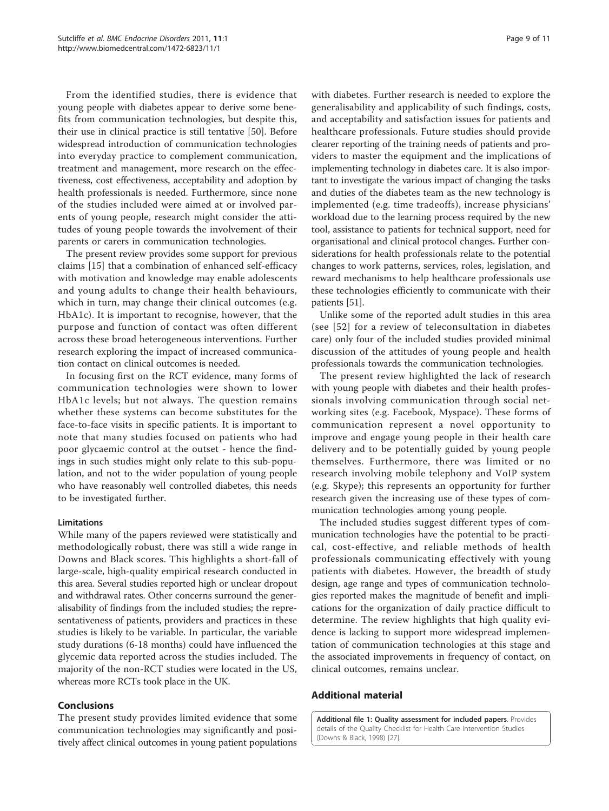<span id="page-9-0"></span>From the identified studies, there is evidence that young people with diabetes appear to derive some benefits from communication technologies, but despite this, their use in clinical practice is still tentative [[50](#page-11-0)]. Before widespread introduction of communication technologies into everyday practice to complement communication, treatment and management, more research on the effectiveness, cost effectiveness, acceptability and adoption by health professionals is needed. Furthermore, since none of the studies included were aimed at or involved parents of young people, research might consider the attitudes of young people towards the involvement of their parents or carers in communication technologies.

The present review provides some support for previous claims [\[15](#page-10-0)] that a combination of enhanced self-efficacy with motivation and knowledge may enable adolescents and young adults to change their health behaviours, which in turn, may change their clinical outcomes (e.g. HbA1c). It is important to recognise, however, that the purpose and function of contact was often different across these broad heterogeneous interventions. Further research exploring the impact of increased communication contact on clinical outcomes is needed.

In focusing first on the RCT evidence, many forms of communication technologies were shown to lower HbA1c levels; but not always. The question remains whether these systems can become substitutes for the face-to-face visits in specific patients. It is important to note that many studies focused on patients who had poor glycaemic control at the outset - hence the findings in such studies might only relate to this sub-population, and not to the wider population of young people who have reasonably well controlled diabetes, this needs to be investigated further.

#### Limitations

While many of the papers reviewed were statistically and methodologically robust, there was still a wide range in Downs and Black scores. This highlights a short-fall of large-scale, high-quality empirical research conducted in this area. Several studies reported high or unclear dropout and withdrawal rates. Other concerns surround the generalisability of findings from the included studies; the representativeness of patients, providers and practices in these studies is likely to be variable. In particular, the variable study durations (6-18 months) could have influenced the glycemic data reported across the studies included. The majority of the non-RCT studies were located in the US, whereas more RCTs took place in the UK.

#### Conclusions

The present study provides limited evidence that some communication technologies may significantly and positively affect clinical outcomes in young patient populations with diabetes. Further research is needed to explore the generalisability and applicability of such findings, costs, and acceptability and satisfaction issues for patients and healthcare professionals. Future studies should provide clearer reporting of the training needs of patients and providers to master the equipment and the implications of implementing technology in diabetes care. It is also important to investigate the various impact of changing the tasks and duties of the diabetes team as the new technology is implemented (e.g. time tradeoffs), increase physicians' workload due to the learning process required by the new tool, assistance to patients for technical support, need for organisational and clinical protocol changes. Further considerations for health professionals relate to the potential changes to work patterns, services, roles, legislation, and reward mechanisms to help healthcare professionals use these technologies efficiently to communicate with their patients [[51](#page-11-0)].

Unlike some of the reported adult studies in this area (see [[52\]](#page-11-0) for a review of teleconsultation in diabetes care) only four of the included studies provided minimal discussion of the attitudes of young people and health professionals towards the communication technologies.

The present review highlighted the lack of research with young people with diabetes and their health professionals involving communication through social networking sites (e.g. Facebook, Myspace). These forms of communication represent a novel opportunity to improve and engage young people in their health care delivery and to be potentially guided by young people themselves. Furthermore, there was limited or no research involving mobile telephony and VoIP system (e.g. Skype); this represents an opportunity for further research given the increasing use of these types of communication technologies among young people.

The included studies suggest different types of communication technologies have the potential to be practical, cost-effective, and reliable methods of health professionals communicating effectively with young patients with diabetes. However, the breadth of study design, age range and types of communication technologies reported makes the magnitude of benefit and implications for the organization of daily practice difficult to determine. The review highlights that high quality evidence is lacking to support more widespread implementation of communication technologies at this stage and the associated improvements in frequency of contact, on clinical outcomes, remains unclear.

#### Additional material

[Additional file 1: Q](http://www.biomedcentral.com/content/supplementary/1472-6823-11-1-S1.DOC)uality assessment for included papers. Provides details of the Quality Checklist for Health Care Intervention Studies (Downs & Black, 1998) [\[27\]](#page-10-0).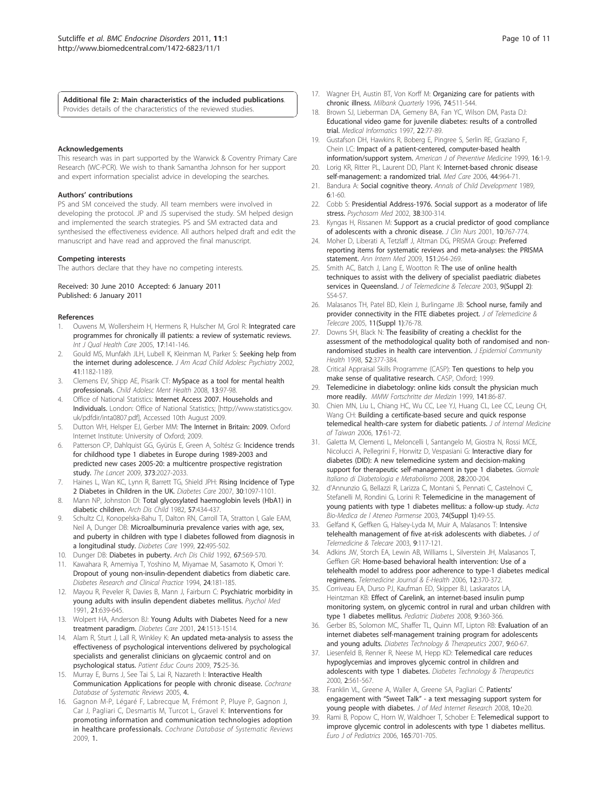<span id="page-10-0"></span>[Additional file 2: M](http://www.biomedcentral.com/content/supplementary/1472-6823-11-1-S2.DOC)ain characteristics of the included publications. Provides details of the characteristics of the reviewed studies.

#### Acknowledgements

This research was in part supported by the Warwick & Coventry Primary Care Research (WC-PCR). We wish to thank Samantha Johnson for her support and expert information specialist advice in developing the searches.

#### Authors' contributions

PS and SM conceived the study. All team members were involved in developing the protocol. JP and JS supervised the study. SM helped design and implemented the search strategies. PS and SM extracted data and synthesised the effectiveness evidence. All authors helped draft and edit the manuscript and have read and approved the final manuscript.

#### Competing interests

The authors declare that they have no competing interests.

#### Received: 30 June 2010 Accepted: 6 January 2011 Published: 6 January 2011

#### References

- 1. Ouwens M, Wollersheim H, Hermens R, Hulscher M, Grol R: [Integrated care](http://www.ncbi.nlm.nih.gov/pubmed/15665066?dopt=Abstract) [programmes for chronically ill patients: a review of systematic reviews.](http://www.ncbi.nlm.nih.gov/pubmed/15665066?dopt=Abstract) Int J Qual Health Care 2005, 17:141-146.
- 2. Gould MS, Munfakh JLH, Lubell K, Kleinman M, Parker S: [Seeking help from](http://www.ncbi.nlm.nih.gov/pubmed/12364839?dopt=Abstract) [the internet during adolescence.](http://www.ncbi.nlm.nih.gov/pubmed/12364839?dopt=Abstract) J Am Acad Child Adolesc Psychiatry 2002, 41:1182-1189.
- Clemens EV, Shipp AE, Pisarik CT: MySpace as a tool for mental health professionals. Child Adolesc Ment Health 2008, 13:97-98.
- Office of National Statistics: Internet Access 2007. Households and Individuals. London: Office of National Statistics; [\[http://www.statistics.gov.](http://www.statistics.gov.uk/pdfdir/inta0807.pdf) [uk/pdfdir/inta0807.pdf\]](http://www.statistics.gov.uk/pdfdir/inta0807.pdf), Accessed 10th August 2009.
- Dutton WH, Helsper EJ, Gerber MM: The Internet in Britain: 2009. Oxford Internet Institute: University of Oxford; 2009.
- 6. Patterson CP, Dahlquist GG, Gyürüs E, Green A, Soltész G: Incidence trends for childhood type 1 diabetes in Europe during 1989-2003 and predicted new cases 2005-20: a multicentre prospective registration study. The Lancet 2009, 373:2027-2033.
- 7. Haines L, Wan KC, Lynn R, Barrett TG, Shield JPH: [Rising Incidence of Type](http://www.ncbi.nlm.nih.gov/pubmed/17259470?dopt=Abstract) [2 Diabetes in Children in the UK.](http://www.ncbi.nlm.nih.gov/pubmed/17259470?dopt=Abstract) Diabetes Care 2007, 30:1097-1101.
- 8. Mann NP, Johnston DI: [Total glycosylated haemoglobin levels \(HbA1\) in](http://www.ncbi.nlm.nih.gov/pubmed/7046648?dopt=Abstract) [diabetic children.](http://www.ncbi.nlm.nih.gov/pubmed/7046648?dopt=Abstract) Arch Dis Child 1982, 57:434-437.
- 9. Schultz CJ, Konopelska-Bahu T, Dalton RN, Carroll TA, Stratton I, Gale EAM, Neil A, Dunger DB: [Microalbuminuria prevalence varies with age, sex,](http://www.ncbi.nlm.nih.gov/pubmed/10097935?dopt=Abstract) [and puberty in children with type I diabetes followed from diagnosis in](http://www.ncbi.nlm.nih.gov/pubmed/10097935?dopt=Abstract) [a longitudinal study.](http://www.ncbi.nlm.nih.gov/pubmed/10097935?dopt=Abstract) Diabetes Care 1999, 22:495-502.
- 10. Dunger DB: [Diabetes in puberty.](http://www.ncbi.nlm.nih.gov/pubmed/1599288?dopt=Abstract) Arch Dis Child 1992, 67:569-570.
- 11. Kawahara R, Amemiya T, Yoshino M, Miyamae M, Sasamoto K, Omori Y: [Dropout of young non-insulin-dependent diabetics from diabetic care.](http://www.ncbi.nlm.nih.gov/pubmed/7988350?dopt=Abstract) Diabetes Research and Clinical Practice 1994, 24:181-185.
- 12. Mayou R, Peveler R, Davies B, Mann J, Fairburn C: [Psychiatric morbidity in](http://www.ncbi.nlm.nih.gov/pubmed/1946852?dopt=Abstract) [young adults with insulin dependent diabetes mellitus.](http://www.ncbi.nlm.nih.gov/pubmed/1946852?dopt=Abstract) Psychol Med 1991, 21:639-645.
- 13. Wolpert HA, Anderson BJ: [Young Adults with Diabetes Need for a new](http://www.ncbi.nlm.nih.gov/pubmed/11522689?dopt=Abstract) [treatment paradigm.](http://www.ncbi.nlm.nih.gov/pubmed/11522689?dopt=Abstract) Diabetes Care 2001, 24:1513-1514.
- 14. Alam R, Sturt J, Lall R, Winkley K: [An updated meta-analysis to assess the](http://www.ncbi.nlm.nih.gov/pubmed/19084368?dopt=Abstract) [effectiveness of psychological interventions delivered by psychological](http://www.ncbi.nlm.nih.gov/pubmed/19084368?dopt=Abstract) [specialists and generalist clinicians on glycaemic control and on](http://www.ncbi.nlm.nih.gov/pubmed/19084368?dopt=Abstract) [psychological status.](http://www.ncbi.nlm.nih.gov/pubmed/19084368?dopt=Abstract) Patient Educ Couns 2009, 75:25-36.
- 15. Murray E, Burns J, See Tai S, Lai R, Nazareth I: Interactive Health Communication Applications for people with chronic disease. Cochrane Database of Systematic Reviews 2005, 4.
- 16. Gagnon M-P, Légaré F, Labrecque M, Frémont P, Pluye P, Gagnon J, Car J, Pagliari C, Desmartis M, Turcot L, Gravel K: Interventions for promoting information and communication technologies adoption in healthcare professionals. Cochrane Database of Systematic Reviews 2009, 1.
- 17. Wagner EH, Austin BT, Von Korff M: [Organizing care for patients with](http://www.ncbi.nlm.nih.gov/pubmed/8941260?dopt=Abstract) [chronic illness.](http://www.ncbi.nlm.nih.gov/pubmed/8941260?dopt=Abstract) Milbank Quarterly 1996, 74:511-544.
- 18. Brown SJ, Lieberman DA, Gemeny BA, Fan YC, Wilson DM, Pasta DJ: [Educational video game for juvenile diabetes: results of a controlled](http://www.ncbi.nlm.nih.gov/pubmed/9183781?dopt=Abstract) [trial.](http://www.ncbi.nlm.nih.gov/pubmed/9183781?dopt=Abstract) Medical Informatics 1997, 22:77-89.
- 19. Gustafson DH, Hawkins R, Boberg E, Pingree S, Serlin RE, Graziano F, Chein LC: Impact of a patient-centered, computer-based health information/support system. American J of Preventive Medicine 1999, 16:1-9.
- Lorig KR, Ritter PL, Laurent DD, Plant K: [Internet-based chronic disease](http://www.ncbi.nlm.nih.gov/pubmed/17063127?dopt=Abstract) [self-management: a randomized trial.](http://www.ncbi.nlm.nih.gov/pubmed/17063127?dopt=Abstract) Med Care 2006, 44:964-71.
- 21. Bandura A: Social cognitive theory. Annals of Child Development 1989, 6:1-60.
- 22. Cobb S: Presidential Address-1976. Social support as a moderator of life stress. Psychosom Med 2002, 38:300-314.
- 23. Kyngas H, Rissanen M: [Support as a crucial predictor of good compliance](http://www.ncbi.nlm.nih.gov/pubmed/11822848?dopt=Abstract) [of adolescents with a chronic disease.](http://www.ncbi.nlm.nih.gov/pubmed/11822848?dopt=Abstract) J Clin Nurs 2001, 10:767-774.
- 24. Moher D, Liberati A, Tetzlaff J, Altman DG, PRISMA Group: [Preferred](http://www.ncbi.nlm.nih.gov/pubmed/19622511?dopt=Abstract) [reporting items for systematic reviews and meta-analyses: the PRISMA](http://www.ncbi.nlm.nih.gov/pubmed/19622511?dopt=Abstract) [statement.](http://www.ncbi.nlm.nih.gov/pubmed/19622511?dopt=Abstract) Ann Intern Med 2009, 151:264-269.
- 25. Smith AC, Batch J, Lang E, Wootton R: The use of online health techniques to assist with the delivery of specialist paediatric diabetes services in Queensland. J of Telemedicine & Telecare 2003, 9(Suppl 2): S54-57.
- 26. Malasanos TH, Patel BD, Klein J, Burlingame JB: School nurse, family and provider connectivity in the FITE diabetes project. J of Telemedicine & Telecare 2005, 11(Suppl 1):76-78.
- 27. Downs SH, Black N: [The feasibility of creating a checklist for the](http://www.ncbi.nlm.nih.gov/pubmed/9764259?dopt=Abstract) [assessment of the methodological quality both of randomised and non](http://www.ncbi.nlm.nih.gov/pubmed/9764259?dopt=Abstract)[randomised studies in health care intervention.](http://www.ncbi.nlm.nih.gov/pubmed/9764259?dopt=Abstract) J Epidemiol Community Health 1998, 52:377-384.
- 28. Critical Appraisal Skills Programme (CASP): Ten questions to help you make sense of qualitative research. CASP, Oxford; 1999.
- 29. Telemedicine in diabetology: online kids consult the physician much more readily. MMW Fortschritte der Medizin 1999, 141:86-87.
- 30. Chien MN, Liu L, Chiang HC, Wu CC, Lee YJ, Huang CL, Lee CC, Leung CH, Wang CH: Building a certificate-based secure and quick response telemedical health-care system for diabetic patients. J of Internal Medicine of Taiwan 2006, 17:61-72.
- 31. Galetta M, Clementi L, Meloncelli I, Santangelo M, Giostra N, Rossi MCE, Nicolucci A, Pellegrini F, Horwitz D, Vespasiani G: Interactive diary for diabetes (DID): A new telemedicine system and decision-making support for therapeutic self-management in type 1 diabetes. Giornale Italiano di Diabetologia e Metabolismo 2008, 28:200-204.
- 32. d'Annunzio G, Bellazzi R, Larizza C, Montani S, Pennati C, Castelnovi C, Stefanelli M, Rondini G, Lorini R: Telemedicine in the management of young patients with type 1 diabetes mellitus: a follow-up study. Acta Bio-Medica de l Ateneo Parmense 2003, 74(Suppl 1):49-55.
- 33. Gelfand K, Geffken G, Halsey-Lyda M, Muir A, Malasanos T: Intensive telehealth management of five at-risk adolescents with diabetes. J of Telemedicine & Telecare 2003, 9:117-121.
- 34. Adkins JW, Storch EA, Lewin AB, Williams L, Silverstein JH, Malasanos T, Geffken GR: Home-based behavioral health intervention: Use of a telehealth model to address poor adherence to type-1 diabetes medical regimens. Telemedicine Journal & E-Health 2006, 12:370-372.
- 35. Corriveau EA, Durso PJ, Kaufman ED, Skipper BJ, Laskaratos LA, Heintzman KB: [Effect of Carelink, an internet-based insulin pump](http://www.ncbi.nlm.nih.gov/pubmed/18774996?dopt=Abstract) [monitoring system, on glycemic control in rural and urban children with](http://www.ncbi.nlm.nih.gov/pubmed/18774996?dopt=Abstract) [type 1 diabetes mellitus.](http://www.ncbi.nlm.nih.gov/pubmed/18774996?dopt=Abstract) Pediatric Diabetes 2008, 9:360-366.
- 36. Gerber BS, Solomon MC, Shaffer TL, Quinn MT, Lipton RB: Evaluation of an internet diabetes self-management training program for adolescents and young adults. Diabetes Technology & Therapeutics 2007, 9:60-67.
- 37. Liesenfeld B, Renner R, Neese M, Hepp KD: Telemedical care reduces hypoglycemias and improves glycemic control in children and adolescents with type 1 diabetes. Diabetes Technology & Therapeutics 2000, 2:561-567.
- 38. Franklin VL, Greene A, Waller A, Greene SA, Pagliari C: Patients' engagement with "Sweet Talk" - a text messaging support system for young people with diabetes. J of Med Internet Research 2008, 10:e20.
- 39. Rami B, Popow C, Horn W, Waldhoer T, Schober E: Telemedical support to improve glycemic control in adolescents with type 1 diabetes mellitus. Euro J of Pediatrics 2006, 165:701-705.